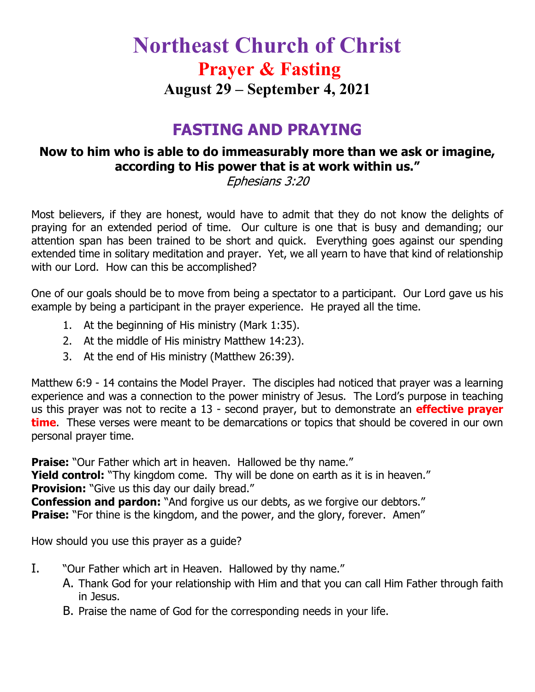# **Northeast Church of Christ Prayer & Fasting August 29 – September 4, 2021**

### **FASTING AND PRAYING**

### **Now to him who is able to do immeasurably more than we ask or imagine, according to His power that is at work within us."**

Ephesians 3:20

Most believers, if they are honest, would have to admit that they do not know the delights of praying for an extended period of time. Our culture is one that is busy and demanding; our attention span has been trained to be short and quick. Everything goes against our spending extended time in solitary meditation and prayer. Yet, we all yearn to have that kind of relationship with our Lord. How can this be accomplished?

One of our goals should be to move from being a spectator to a participant. Our Lord gave us his example by being a participant in the prayer experience. He prayed all the time.

- 1. At the beginning of His ministry (Mark 1:35).
- 2. At the middle of His ministry Matthew 14:23).
- 3. At the end of His ministry (Matthew 26:39).

Matthew 6:9 - 14 contains the Model Prayer. The disciples had noticed that prayer was a learning experience and was a connection to the power ministry of Jesus. The Lord's purpose in teaching us this prayer was not to recite a 13 - second prayer, but to demonstrate an **effective prayer time**. These verses were meant to be demarcations or topics that should be covered in our own personal prayer time.

**Praise:** "Our Father which art in heaven. Hallowed be thy name." **Yield control:** "Thy kingdom come. Thy will be done on earth as it is in heaven." **Provision:** "Give us this day our daily bread." **Confession and pardon:** "And forgive us our debts, as we forgive our debtors." **Praise:** "For thine is the kingdom, and the power, and the glory, forever. Amen"

How should you use this prayer as a guide?

- I. "Our Father which art in Heaven. Hallowed by thy name."
	- A. Thank God for your relationship with Him and that you can call Him Father through faith in Jesus.
	- B. Praise the name of God for the corresponding needs in your life.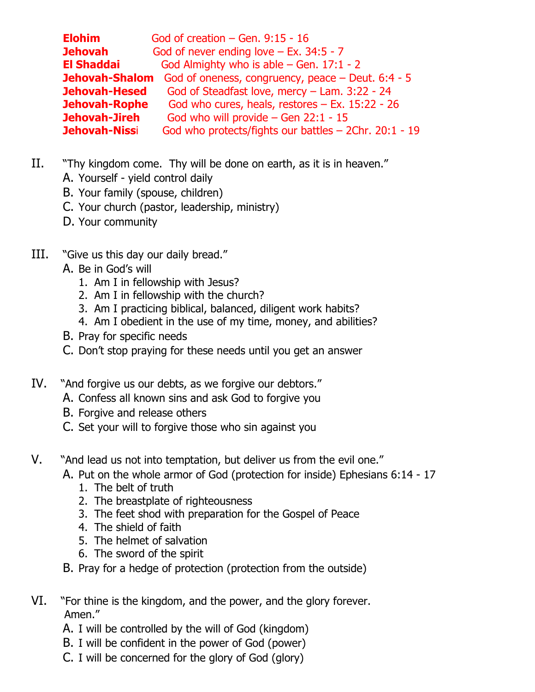| <b>Elohim</b>         | God of creation $-$ Gen. 9:15 - 16                    |
|-----------------------|-------------------------------------------------------|
| <b>Jehovah</b>        | God of never ending love $-$ Ex. 34:5 - 7             |
| El Shaddai            | God Almighty who is able $-$ Gen. 17:1 - 2            |
| Jehovah-Shalom        | God of oneness, congruency, peace $-$ Deut. 6:4 - 5   |
| Jehovah-Hesed         | God of Steadfast love, mercy - Lam. 3:22 - 24         |
| Jehovah-Rophe         | God who cures, heals, restores $-$ Ex. 15:22 - 26     |
| Jehovah-Jireh         | God who will provide $-$ Gen 22:1 - 15                |
| <b>Jehovah-Niss</b> i | God who protects/fights our battles - 2Chr. 20:1 - 19 |

- II. "Thy kingdom come. Thy will be done on earth, as it is in heaven."
	- A. Yourself yield control daily
	- B. Your family (spouse, children)
	- C. Your church (pastor, leadership, ministry)
	- D. Your community
- III. "Give us this day our daily bread."
	- A. Be in God's will
		- 1. Am I in fellowship with Jesus?
		- 2. Am I in fellowship with the church?
		- 3. Am I practicing biblical, balanced, diligent work habits?
		- 4. Am I obedient in the use of my time, money, and abilities?
	- B. Pray for specific needs
	- C. Don't stop praying for these needs until you get an answer
- IV. "And forgive us our debts, as we forgive our debtors."
	- A. Confess all known sins and ask God to forgive you
	- B. Forgive and release others
	- C. Set your will to forgive those who sin against you
- V. "And lead us not into temptation, but deliver us from the evil one."
	- A. Put on the whole armor of God (protection for inside) Ephesians 6:14 17
		- 1. The belt of truth
		- 2. The breastplate of righteousness
		- 3. The feet shod with preparation for the Gospel of Peace
		- 4. The shield of faith
		- 5. The helmet of salvation
		- 6. The sword of the spirit
	- B. Pray for a hedge of protection (protection from the outside)
- VI. "For thine is the kingdom, and the power, and the glory forever. Amen."
	- A. I will be controlled by the will of God (kingdom)
	- B. I will be confident in the power of God (power)
	- C. I will be concerned for the glory of God (glory)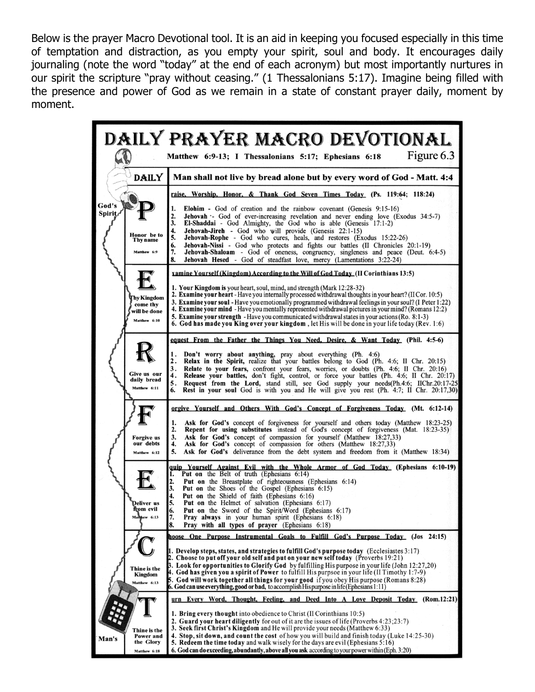Below is the prayer Macro Devotional tool. It is an aid in keeping you focused especially in this time of temptation and distraction, as you empty your spirit, soul and body. It encourages daily journaling (note the word "today" at the end of each acronym) but most importantly nurtures in our spirit the scripture "pray without ceasing." (1 Thessalonians 5:17). Imagine being filled with the presence and power of God as we remain in a state of constant prayer daily, moment by moment.

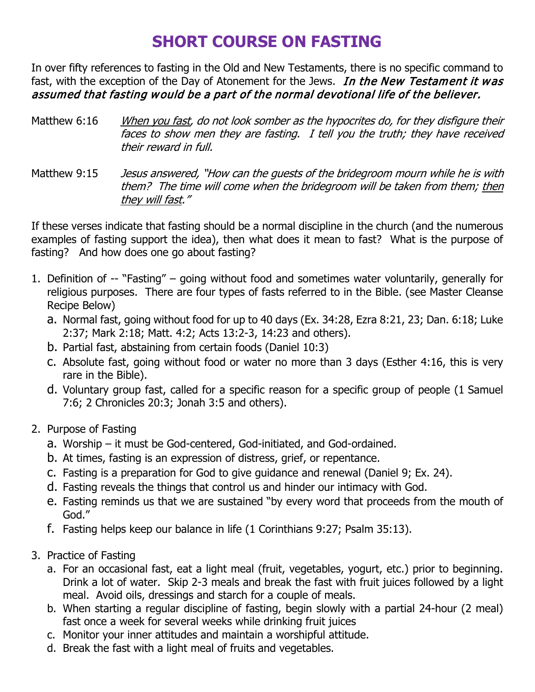## **SHORT COURSE ON FASTING**

In over fifty references to fasting in the Old and New Testaments, there is no specific command to fast, with the exception of the Day of Atonement for the Jews. In the New Testament it was assumed that fasting would be a part of the normal devotional life of the believer.

Matthew 6:16 When you fast, do not look somber as the hypocrites do, for they disfigure their faces to show men they are fasting. I tell you the truth; they have received their reward in full.

Matthew 9:15 Jesus answered, "How can the guests of the bridegroom mourn while he is with them? The time will come when the bridegroom will be taken from them; then they will fast."

If these verses indicate that fasting should be a normal discipline in the church (and the numerous examples of fasting support the idea), then what does it mean to fast? What is the purpose of fasting? And how does one go about fasting?

- 1. Definition of -- "Fasting" going without food and sometimes water voluntarily, generally for religious purposes. There are four types of fasts referred to in the Bible. (see Master Cleanse Recipe Below)
	- a. Normal fast, going without food for up to 40 days (Ex. 34:28, Ezra 8:21, 23; Dan. 6:18; Luke 2:37; Mark 2:18; Matt. 4:2; Acts 13:2-3, 14:23 and others).
	- b. Partial fast, abstaining from certain foods (Daniel 10:3)
	- c. Absolute fast, going without food or water no more than 3 days (Esther 4:16, this is very rare in the Bible).
	- d. Voluntary group fast, called for a specific reason for a specific group of people (1 Samuel 7:6; 2 Chronicles 20:3; Jonah 3:5 and others).
- 2. Purpose of Fasting
	- a. Worship it must be God-centered, God-initiated, and God-ordained.
	- b. At times, fasting is an expression of distress, grief, or repentance.
	- c. Fasting is a preparation for God to give guidance and renewal (Daniel 9; Ex. 24).
	- d. Fasting reveals the things that control us and hinder our intimacy with God.
	- e. Fasting reminds us that we are sustained "by every word that proceeds from the mouth of God."
	- f. Fasting helps keep our balance in life (1 Corinthians 9:27; Psalm 35:13).
- 3. Practice of Fasting
	- a. For an occasional fast, eat a light meal (fruit, vegetables, yogurt, etc.) prior to beginning. Drink a lot of water. Skip 2-3 meals and break the fast with fruit juices followed by a light meal. Avoid oils, dressings and starch for a couple of meals.
	- b. When starting a regular discipline of fasting, begin slowly with a partial 24-hour (2 meal) fast once a week for several weeks while drinking fruit juices
	- c. Monitor your inner attitudes and maintain a worshipful attitude.
	- d. Break the fast with a light meal of fruits and vegetables.